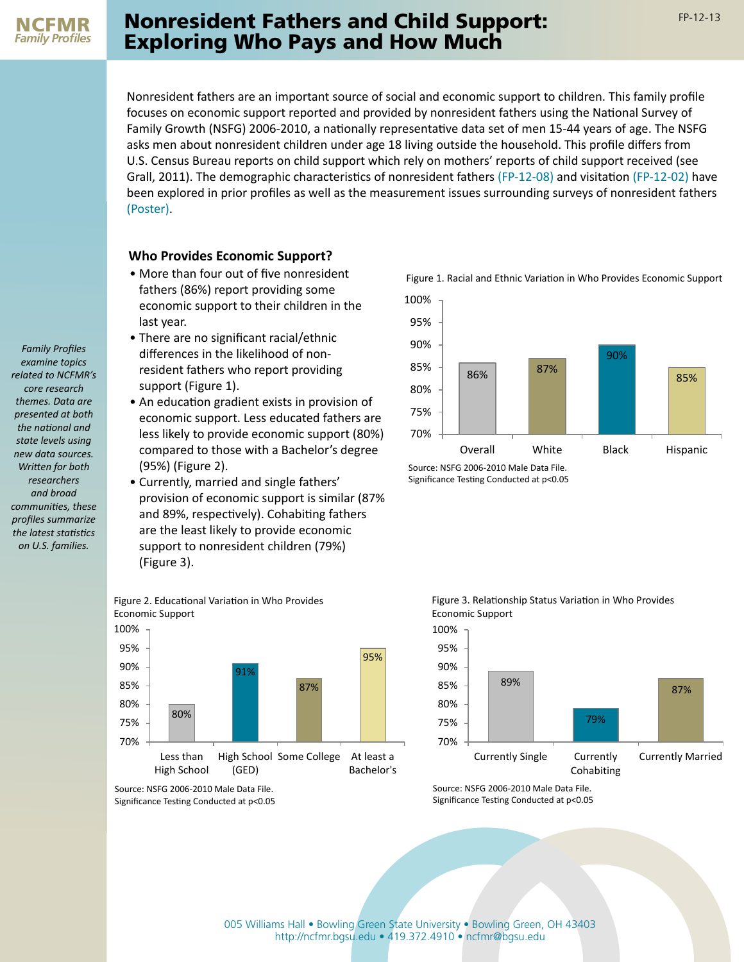*Family Profiles examine topics related to NCFMR's core research themes. Data are presented at both the national and state levels using new data sources. Written for both researchers and broad communities, these profiles summarize the latest statistics on U.S. families.*

## **Nonresident Fathers and Child Support:** FP-12-13 Exploring Who Pays and How Much

Nonresident fathers are an important source of social and economic support to children. This family profile focuses on economic support reported and provided by nonresident fathers using the National Survey of Family Growth (NSFG) 2006-2010, a nationally representative data set of men 15-44 years of age. The NSFG asks men about nonresident children under age 18 living outside the household. This profile differs from U.S. Census Bureau reports on child support which rely on mothers' reports of child support received (see Grall, 2011). The demographic characteristics of nonresident fathers [\(FP-12-08\)](http://ncfmr.bgsu.edu/pdf/family_profiles/file112052.pdf) and visitation [\(FP-12-02\)](http://ncfmr.bgsu.edu/pdf/family_profiles/file106987.pdf) have been explored in prior profiles as well as the measurement issues surrounding surveys of nonresident fathers [\(Poster\)](http://ncfmr.bgsu.edu/pdf/fathersfathering/Posters/file112417.pdf).

#### **Who Provides Economic Support?**

- More than four out of five nonresident Figure 1. Racial and Ethnic Variation in Who Provides Economic Support fathers (86%) report providing some economic support to their children in the last year.
- There are no significant racial/ethnic differences in the likelihood of nonresident fathers who report providing support (Figure 1).
- An education gradient exists in provision of economic support. Less educated fathers are less likely to provide economic support (80%) compared to those with a Bachelor's degree (95%) (Figure 2).
- Currently, married and single fathers' provision of economic support is similar (87% and 89%, respectively). Cohabiting fathers are the least likely to provide economic support to nonresident children (79%) (Figure 3).





Source: NSFG 2006-2010 Male Data File. Significance Testing Conducted at p<0.05



Source: NSFG 2006-2010 Male Data File. Significance Testing Conducted at p<0.05



Source: NSFG 2006-2010 Male Data File. Significance Testing Conducted at p<0.05

Figure 3. Relationship Status Variation in Who Provides Economic Support